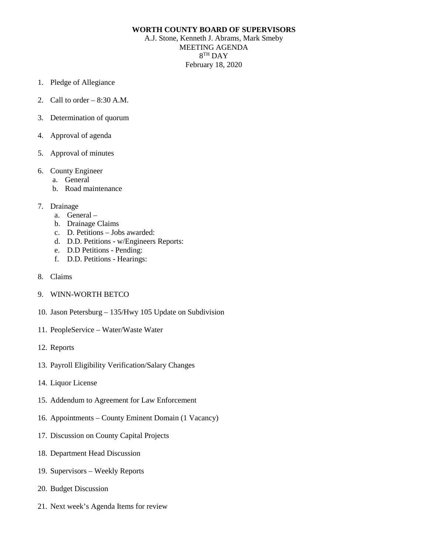## **WORTH COUNTY BOARD OF SUPERVISORS**

A.J. Stone, Kenneth J. Abrams, Mark Smeby MEETING AGENDA 8TH DAY February 18, 2020

- 1. Pledge of Allegiance
- 2. Call to order 8:30 A.M.
- 3. Determination of quorum
- 4. Approval of agenda
- 5. Approval of minutes
- 6. County Engineer
	- a. General
	- b. Road maintenance
- 7. Drainage
	- a. General –
	- b. Drainage Claims
	- c. D. Petitions Jobs awarded:
	- d. D.D. Petitions w/Engineers Reports:
	- e. D.D Petitions Pending:
	- f. D.D. Petitions Hearings:
- 8. Claims
- 9. WINN-WORTH BETCO
- 10. Jason Petersburg 135/Hwy 105 Update on Subdivision
- 11. PeopleService Water/Waste Water
- 12. Reports
- 13. Payroll Eligibility Verification/Salary Changes
- 14. Liquor License
- 15. Addendum to Agreement for Law Enforcement
- 16. Appointments County Eminent Domain (1 Vacancy)
- 17. Discussion on County Capital Projects
- 18. Department Head Discussion
- 19. Supervisors Weekly Reports
- 20. Budget Discussion
- 21. Next week's Agenda Items for review